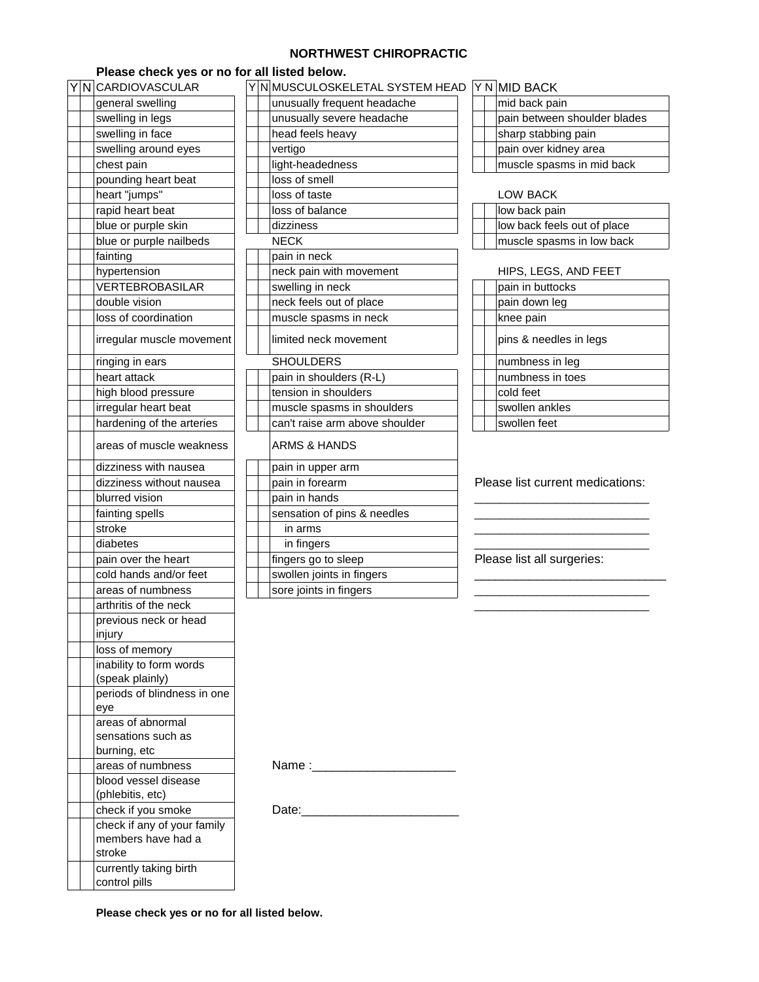## **NORTHWEST CHIROPRACTIC**

## **Please check yes or no for all listed below.**

|  | Y N CARDIOVASCULAR          |  |                   | Y N MUSCULOSKELETAL SYSTEM HEAD Y N MID BACK |  |  |                                  |
|--|-----------------------------|--|-------------------|----------------------------------------------|--|--|----------------------------------|
|  | general swelling            |  |                   | unusually frequent headache                  |  |  | mid back pain                    |
|  | swelling in legs            |  |                   | unusually severe headache                    |  |  | pain between shoulder blades     |
|  | swelling in face            |  |                   | head feels heavy                             |  |  | sharp stabbing pain              |
|  | swelling around eyes        |  |                   | vertigo                                      |  |  | pain over kidney area            |
|  | chest pain                  |  |                   | light-headedness                             |  |  | muscle spasms in mid back        |
|  | pounding heart beat         |  |                   | loss of smell                                |  |  |                                  |
|  | heart "jumps"               |  |                   | loss of taste                                |  |  | <b>LOW BACK</b>                  |
|  | rapid heart beat            |  |                   | loss of balance                              |  |  | low back pain                    |
|  | blue or purple skin         |  |                   | dizziness                                    |  |  | low back feels out of place      |
|  | blue or purple nailbeds     |  |                   | <b>NECK</b>                                  |  |  | muscle spasms in low back        |
|  | fainting                    |  |                   | pain in neck                                 |  |  |                                  |
|  | hypertension                |  |                   | neck pain with movement                      |  |  | HIPS, LEGS, AND FEET             |
|  | VERTEBROBASILAR             |  |                   | swelling in neck                             |  |  | pain in buttocks                 |
|  | double vision               |  |                   | neck feels out of place                      |  |  | pain down leg                    |
|  | loss of coordination        |  |                   | muscle spasms in neck                        |  |  | knee pain                        |
|  | irregular muscle movement   |  |                   | limited neck movement                        |  |  | pins & needles in legs           |
|  | ringing in ears             |  |                   | <b>SHOULDERS</b>                             |  |  | numbness in leg                  |
|  | heart attack                |  |                   | pain in shoulders (R-L)                      |  |  | numbness in toes                 |
|  | high blood pressure         |  |                   | tension in shoulders                         |  |  | cold feet                        |
|  | irregular heart beat        |  |                   | muscle spasms in shoulders                   |  |  | swollen ankles                   |
|  | hardening of the arteries   |  |                   | can't raise arm above shoulder               |  |  | swollen feet                     |
|  | areas of muscle weakness    |  |                   | ARMS & HANDS                                 |  |  |                                  |
|  | dizziness with nausea       |  | pain in upper arm |                                              |  |  |                                  |
|  | dizziness without nausea    |  |                   | pain in forearm                              |  |  | Please list current medications: |
|  | blurred vision              |  |                   | pain in hands                                |  |  |                                  |
|  | fainting spells             |  |                   | sensation of pins & needles                  |  |  |                                  |
|  | stroke                      |  |                   | in arms                                      |  |  |                                  |
|  | diabetes                    |  |                   | in fingers                                   |  |  |                                  |
|  | pain over the heart         |  |                   | fingers go to sleep                          |  |  | Please list all surgeries:       |
|  | cold hands and/or feet      |  |                   | swollen joints in fingers                    |  |  |                                  |
|  | areas of numbness           |  |                   | sore joints in fingers                       |  |  |                                  |
|  | arthritis of the neck       |  |                   |                                              |  |  |                                  |
|  | previous neck or head       |  |                   |                                              |  |  |                                  |
|  | injury                      |  |                   |                                              |  |  |                                  |
|  | loss of memory              |  |                   |                                              |  |  |                                  |
|  | inability to form words     |  |                   |                                              |  |  |                                  |
|  | (speak plainly)             |  |                   |                                              |  |  |                                  |
|  | periods of blindness in one |  |                   |                                              |  |  |                                  |
|  | eye<br>areas of abnormal    |  |                   |                                              |  |  |                                  |
|  | sensations such as          |  |                   |                                              |  |  |                                  |
|  | burning, etc                |  |                   |                                              |  |  |                                  |
|  | areas of numbness           |  |                   | Name :___________________________            |  |  |                                  |
|  | blood vessel disease        |  |                   |                                              |  |  |                                  |
|  | (phlebitis, etc)            |  |                   |                                              |  |  |                                  |
|  | check if you smoke          |  |                   |                                              |  |  |                                  |
|  | check if any of your family |  |                   |                                              |  |  |                                  |
|  | members have had a          |  |                   |                                              |  |  |                                  |
|  | stroke                      |  |                   |                                              |  |  |                                  |
|  | currently taking birth      |  |                   |                                              |  |  |                                  |
|  | control pills               |  |                   |                                              |  |  |                                  |

| YNCARDIOVASCULAR          |  | Y N MUSCULOSKELETAL SYSTEM HEAD Y N MID BACK |  |                                  |  |
|---------------------------|--|----------------------------------------------|--|----------------------------------|--|
| general swelling          |  | unusually frequent headache                  |  | mid back pain                    |  |
| swelling in legs          |  | unusually severe headache                    |  | pain between shoulder blades     |  |
| swelling in face          |  | head feels heavy                             |  | sharp stabbing pain              |  |
| swelling around eyes      |  | vertigo                                      |  | pain over kidney area            |  |
| chest pain                |  | light-headedness                             |  | muscle spasms in mid back        |  |
| pounding heart beat       |  | loss of smell                                |  |                                  |  |
| heart "jumps"             |  | loss of taste                                |  | <b>LOW BACK</b>                  |  |
| rapid heart beat          |  | loss of balance                              |  | low back pain                    |  |
| blue or purple skin       |  | dizziness                                    |  | low back feels out of place      |  |
| blue or purple nailbeds   |  | <b>NECK</b>                                  |  | muscle spasms in low back        |  |
| fainting                  |  | pain in neck                                 |  |                                  |  |
| hypertension              |  | neck pain with movement                      |  | HIPS, LEGS, AND FEET             |  |
| VERTEBROBASILAR           |  | swelling in neck                             |  | pain in buttocks                 |  |
| double vision             |  | neck feels out of place                      |  | pain down leg                    |  |
| loss of coordination      |  | muscle spasms in neck                        |  | knee pain                        |  |
| irregular muscle movement |  | limited neck movement                        |  | pins & needles in legs           |  |
| ringing in ears           |  | <b>SHOULDERS</b>                             |  | numbness in leg                  |  |
| heart attack              |  | pain in shoulders (R-L)                      |  | numbness in toes                 |  |
| high blood pressure       |  | tension in shoulders                         |  | cold feet                        |  |
| irregular heart beat      |  | muscle spasms in shoulders                   |  | swollen ankles                   |  |
| hardening of the arteries |  | can't raise arm above shoulder               |  | swollen feet                     |  |
| areas of muscle weakness  |  | ARMS & HANDS                                 |  |                                  |  |
| dizziness with nausea     |  | pain in upper arm                            |  |                                  |  |
| dizziness without nausea  |  | pain in forearm                              |  | Please list current medications: |  |
| blurred vision            |  | pain in hands                                |  |                                  |  |
| fainting spells           |  | sensation of pins & needles                  |  |                                  |  |
| stroke                    |  | in arms                                      |  |                                  |  |
| diabetes                  |  | in fingers                                   |  |                                  |  |
| pain over the heart       |  | fingers go to sleep                          |  | Please list all surgeries:       |  |
| cold hands and/or feet    |  | swollen joints in fingers                    |  |                                  |  |
| areas of numbness         |  | sore joints in fingers                       |  |                                  |  |

|  | Y N MID BACK                 |
|--|------------------------------|
|  | mid back pain                |
|  | pain between shoulder blades |
|  | sharp stabbing pain          |
|  | pain over kidney area        |
|  | muscle spasms in mid back    |

| LOW BACK                    |
|-----------------------------|
| low back pain               |
| low back feels out of place |
| muscle spasms in low back   |
|                             |

## HIPS, LEGS, AND FEET

|  | pain in buttocks       |
|--|------------------------|
|  | pain down leg          |
|  | knee pain              |
|  | pins & needles in legs |
|  | numbness in leg        |
|  | Inumbness in toes      |
|  | cold feet              |
|  | swollen ankles         |
|  | Iswollen feet          |
|  |                        |

## Please list current medications:

**Please check yes or no for all listed below.**